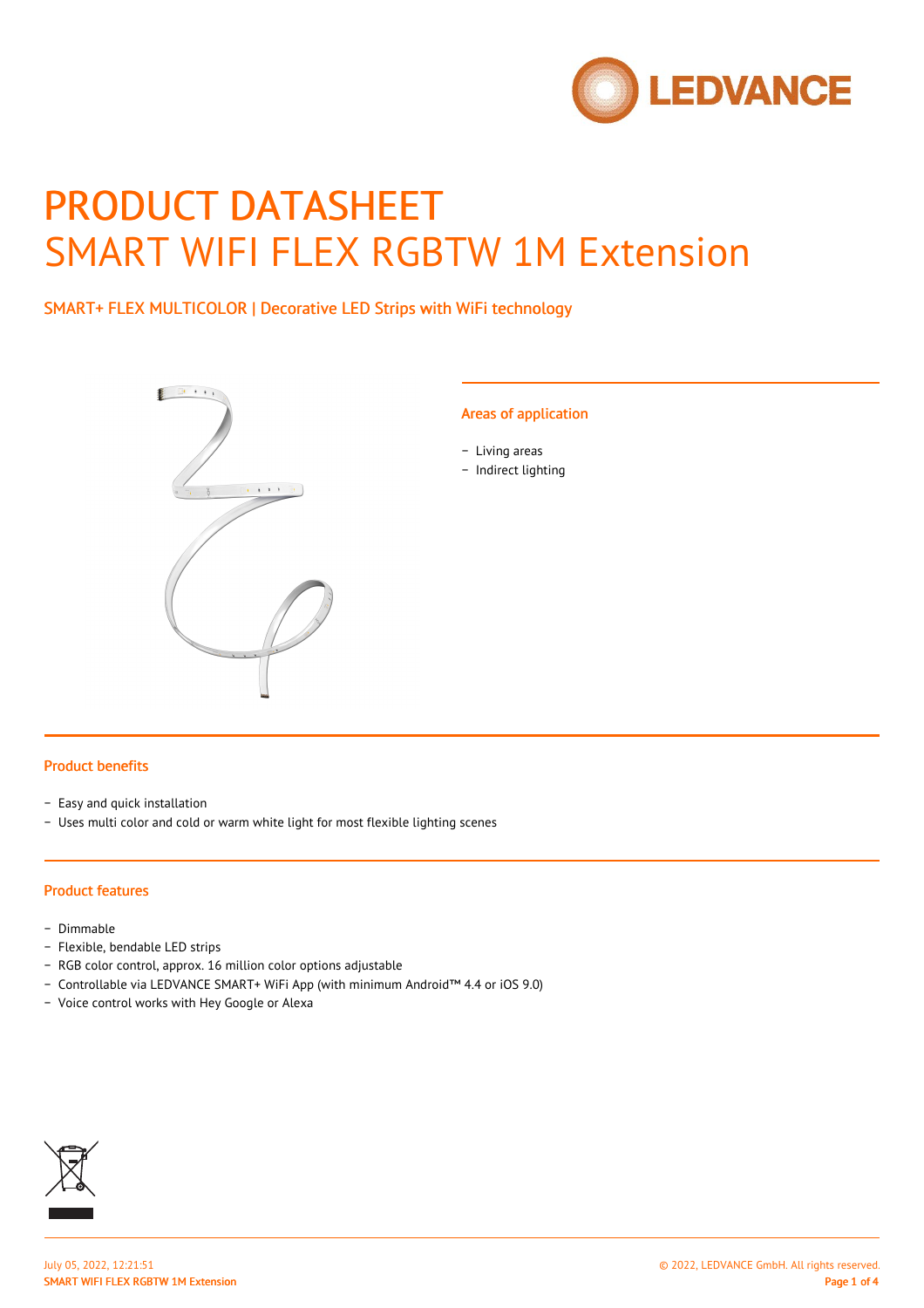

# PRODUCT DATASHEET SMART WIFI FLEX RGBTW 1M Extension

SMART+ FLEX MULTICOLOR | Decorative LED Strips with WiFi technology



#### Areas of application

- − Living areas
- − Indirect lighting

#### Product benefits

- − Easy and quick installation
- − Uses multi color and cold or warm white light for most flexible lighting scenes

#### Product features

- − Dimmable
- − Flexible, bendable LED strips
- − RGB color control, approx. 16 million color options adjustable
- − Controllable via LEDVANCE SMART+ WiFi App (with minimum Android™ 4.4 or iOS 9.0)
- − Voice control works with Hey Google or Alexa

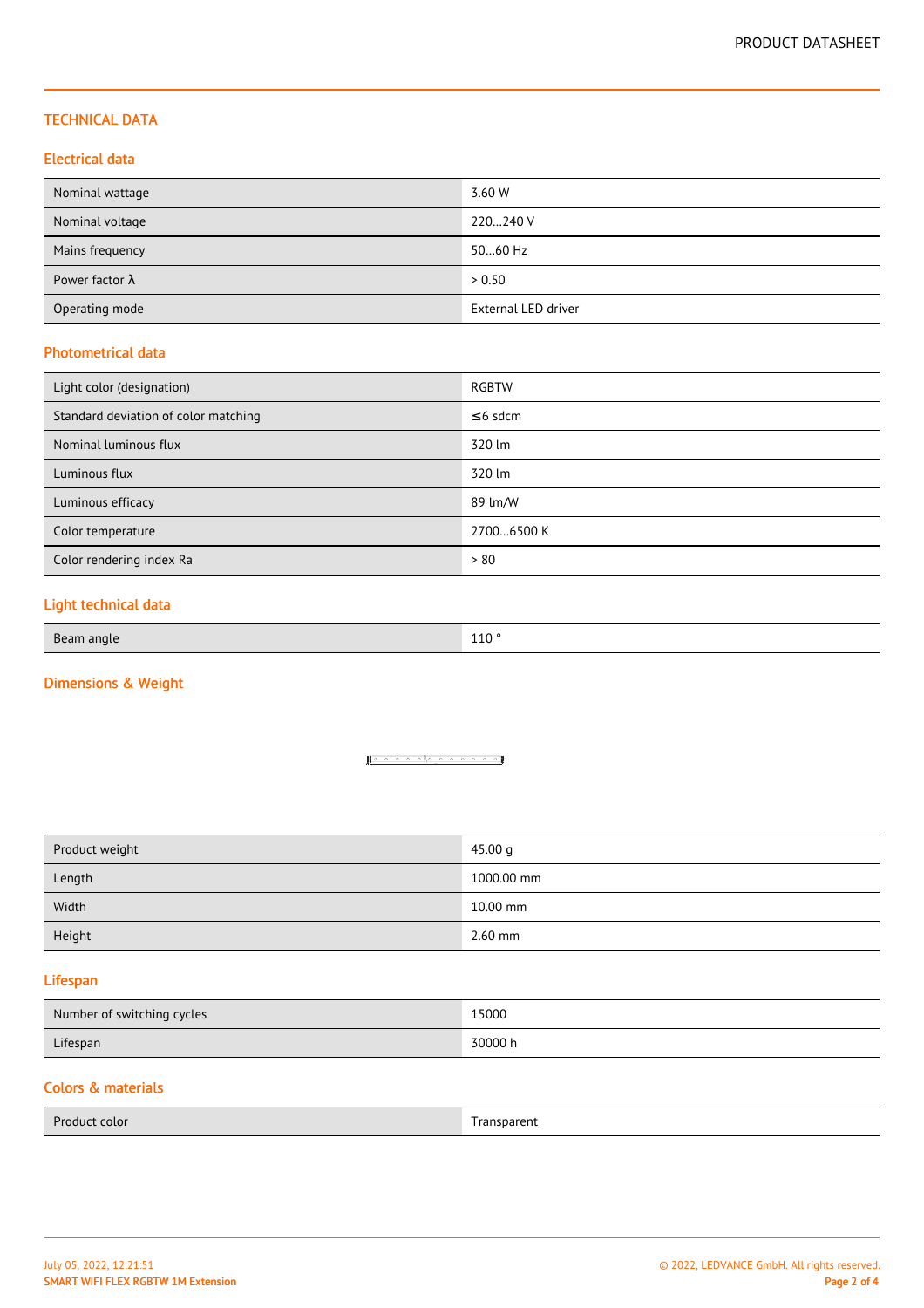## TECHNICAL DATA

## Electrical data

| Nominal wattage        | 3.60 W              |
|------------------------|---------------------|
| Nominal voltage        | 220240 V            |
| Mains frequency        | 5060 Hz             |
| Power factor $\lambda$ | > 0.50              |
| Operating mode         | External LED driver |

#### Photometrical data

| Light color (designation)            | RGBTW         |
|--------------------------------------|---------------|
| Standard deviation of color matching | $\leq$ 6 sdcm |
| Nominal luminous flux                | 320 lm        |
| Luminous flux                        | 320 lm        |
| Luminous efficacy                    | 89 lm/W       |
| Color temperature                    | 27006500 K    |
| Color rendering index Ra             | > 80          |

# Light technical data

| Beam angle | 110<br>TTO |
|------------|------------|
|------------|------------|

# Dimensions & Weight

#### <u>100000000000</u>

| Product weight | 45.00 $q$  |
|----------------|------------|
| Length         | 1000.00 mm |
| Width          | 10.00 mm   |
| Height         | $2.60$ mm  |

## Lifespan

| Number of switching cycles | 15000   |
|----------------------------|---------|
| Lifespan                   | 30000 h |

# Colors & materials

| Product color | Transparent<br>_____ |
|---------------|----------------------|
|               |                      |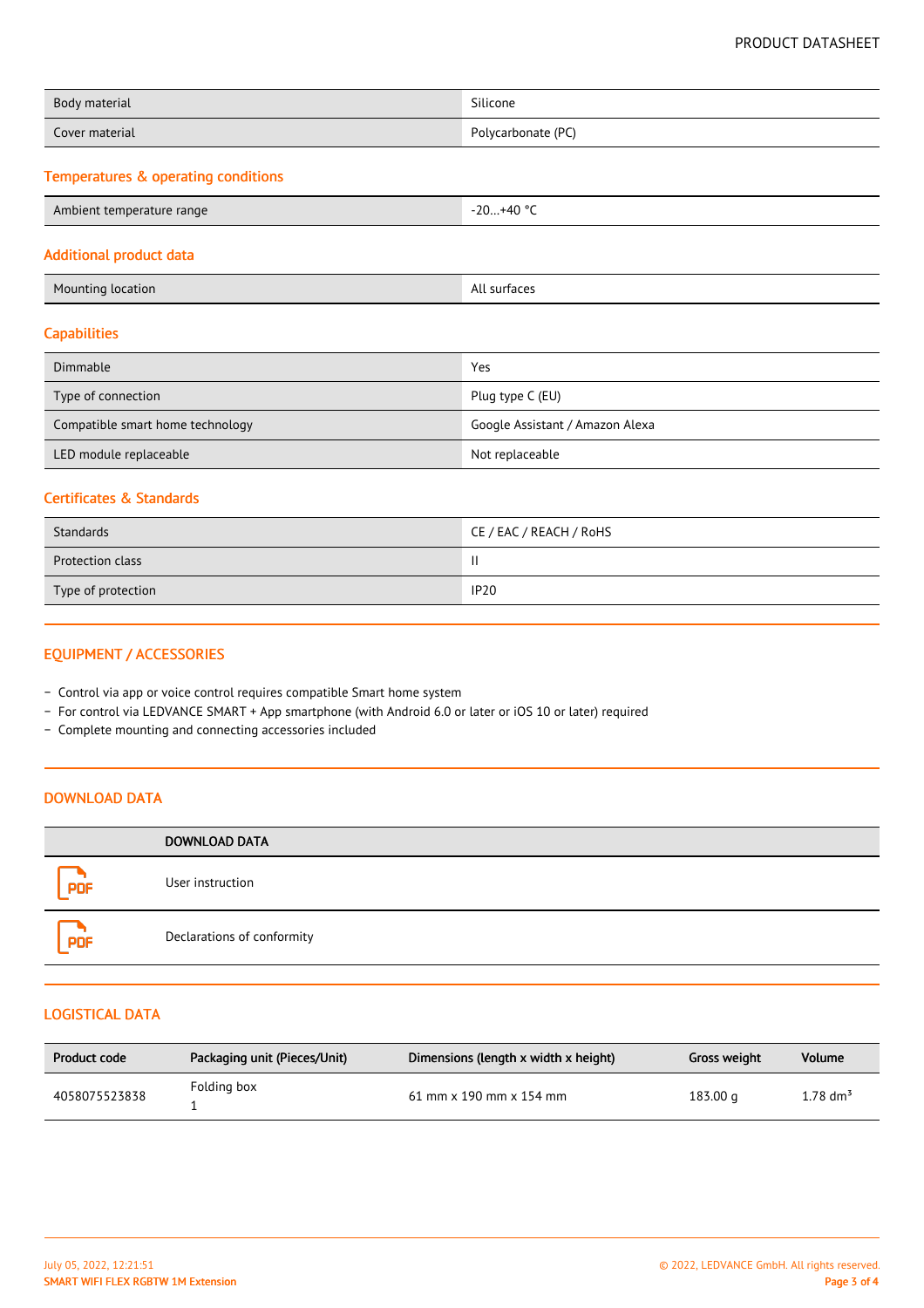| Body material  | Silicone           |
|----------------|--------------------|
| Cover material | Polycarbonate (PC) |

# Temperatures & operating conditions

| Ambient temperature range | -20+40 °C |
|---------------------------|-----------|
|---------------------------|-----------|

#### Additional product data

| <b>Mounting location</b> | All surfaces |
|--------------------------|--------------|
|                          |              |

# **Capabilities**

| Dimmable                         | Yes                             |
|----------------------------------|---------------------------------|
| Type of connection               | Plug type C (EU)                |
| Compatible smart home technology | Google Assistant / Amazon Alexa |
| LED module replaceable           | Not replaceable                 |

## Certificates & Standards

| Standards               | CE / EAC / REACH / RoHS |
|-------------------------|-------------------------|
| <b>Protection class</b> |                         |
| Type of protection      | <b>IP20</b>             |

# EQUIPMENT / ACCESSORIES

- − Control via app or voice control requires compatible Smart home system
- − For control via LEDVANCE SMART + App smartphone (with Android 6.0 or later or iOS 10 or later) required
- − Complete mounting and connecting accessories included

# DOWNLOAD DATA

|     | <b>DOWNLOAD DATA</b>       |
|-----|----------------------------|
| PDF | User instruction           |
| PDF | Declarations of conformity |

#### LOGISTICAL DATA

| Product code  | Packaging unit (Pieces/Unit) | Dimensions (length x width x height) | Gross weight | Volume             |
|---------------|------------------------------|--------------------------------------|--------------|--------------------|
| 4058075523838 | Folding box                  | $61$ mm x 190 mm x 154 mm            | 183.00 g     | 1.78 $\rm{dm}^{3}$ |